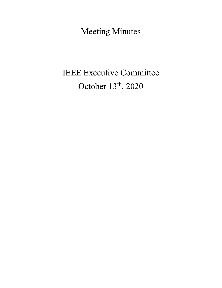Meeting Minutes

# IEEE Executive Committee October 13<sup>th</sup>, 2020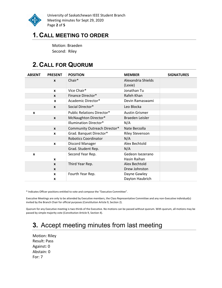

University of Saskatchewan IEEE Student Branch Meeting minutes for Sept 29, 2020 Page 2 of 5

## 1. CALL MEETING TO ORDER

Motion: Braeden Second: Riley

## 2. CALL FOR QUORUM

| <b>ABSENT</b> | <b>PRESENT</b>   | <b>POSITION</b>                   | <b>MEMBER</b>          | <b>SIGNATURES</b> |
|---------------|------------------|-----------------------------------|------------------------|-------------------|
|               | $\boldsymbol{x}$ | Chair*                            | Alexandria Shields     |                   |
|               |                  |                                   | (Lexie)                |                   |
|               | $\boldsymbol{x}$ | Vice Chair*                       | Jonathan Tu            |                   |
|               | $\mathbf{x}$     | Finance Director*                 | Rafeh Khan             |                   |
|               | $\mathbf{x}$     | Academic Director*                | Devin Ramaswami        |                   |
|               | $\mathbf{x}$     | Social Director*                  | Leo Blocka             |                   |
| X             |                  | <b>Public Relations Director*</b> | <b>Austin Grismer</b>  |                   |
|               | $\boldsymbol{x}$ | McNaughton Director*              | Braeden Leisler        |                   |
|               |                  | <b>Illumination Director*</b>     | N/A                    |                   |
|               | $\mathbf{x}$     | Community Outreach Director*      | Nate Berzolla          |                   |
|               | $\mathbf{x}$     | Grad. Banquet Director*           | <b>Riley Stevenson</b> |                   |
|               |                  | <b>Robotics Coordinator</b>       | N/A                    |                   |
|               | X                | Discord Manager                   | Alex Bechtold          |                   |
|               |                  | Grad. Student Rep.                | N/A                    |                   |
| X             |                  | Second Year Rep.                  | Gedeon Isezerano       |                   |
|               | $\boldsymbol{x}$ |                                   | Hasin Raihan           |                   |
|               | $\mathbf{x}$     | Third Year Rep.                   | Alex Bechtold          |                   |
|               | $\boldsymbol{x}$ |                                   | Drew Johnston          |                   |
|               | X                | Fourth Year Rep.                  | Dayne Gawley           |                   |
|               | X                |                                   | Dayton Haubrich        |                   |

\* Indicates Officer positions entitled to vote and compose the "Executive Committee".

Executive Meetings are only to be attended by Executive members, the Class Representative Committee and any non-Executive individual(s) invited by the Branch Chair for official purposes (Constitution Article 9, Section 2).

Quorum for any Executive meeting is two-thirds of the Executive. No motions can be passed without quorum. With quorum, all motions may be passed by simple majority vote (Constitution Article 9, Section 4).

# 3. Accept meeting minutes from last meeting

Motion: Riley Result: Pass Against: 0 Abstain: 0 For: 7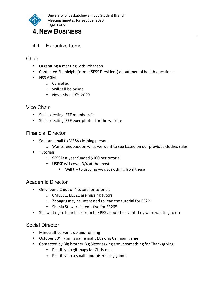

## 4. NEW BUSINESS

#### 4.1. Executive Items

#### **Chair**

- **•** Organizing a meeting with Johanson
- Contacted Shanleigh (former SESS President) about mental health questions
- **NSS AGM** 
	- o Cancelled
	- o Will still be online
	- $\circ$  November 13<sup>th</sup>, 2020

#### Vice Chair

- **Still collecting IEEE members #s**
- **Still collecting IEEE exec photos for the website**

#### Financial Director

- Sent an email to MESA clothing person
	- $\circ$  Wants feedback on what we want to see based on our previous clothes sales
- **Tutorials** 
	- o SESS last year funded \$100 per tutorial
	- o USESF will cover 3/4 at the most
		- Will try to assume we get nothing from these

#### Academic Director

- Only found 2 out of 4 tutors for tutorials
	- o CME331, EE321 are missing tutors
	- o Zhongru may be interested to lead the tutorial for EE221
	- o Shania Stewart is tentative for EE265
- Still waiting to hear back from the PES about the event they were wanting to do

#### Social Director

- **Minecraft server is up and running**
- October 30<sup>th</sup>, 7pm is game night (Among Us (main game)
- Contacted by Big brother Big Sister asking about something for Thanksgiving
	- o Possibly do gift bags for Christmas
	- o Possibly do a small fundraiser using games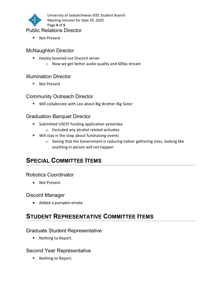

University of Saskatchewan IEEE Student Branch Meeting minutes for Sept 29, 2020 Page 4 of 5

#### Public Relations Director

**Not Present** 

#### McNaughton Director

- Hayley boosted out Discord server
	- o Now we get better audio quality and 60fps stream

#### Illumination Director

■ Not Present

#### Community Outreach Director

Will collaborate with Leo about Big Brother Big Sister

#### Graduation Banquet Director

- **Submitted USESF funding application yesterday** 
	- o Excluded any alcohol related activates
- **Will stay in the loop about fundraising events** 
	- $\circ$  Seeing that the Government is reducing indoor gathering sizes, looking like anything in person will not happen

# SPECIAL COMMITTEE ITEMS

#### Robotics Coordinator

• Not Present.

#### Discord Manager

Added a pumpkin emote

# STUDENT REPRESENTATIVE COMMITTEE ITEMS

#### Graduate Student Representative

■ Nothing to Report.

#### Second Year Representative

■ Nothing to Report.